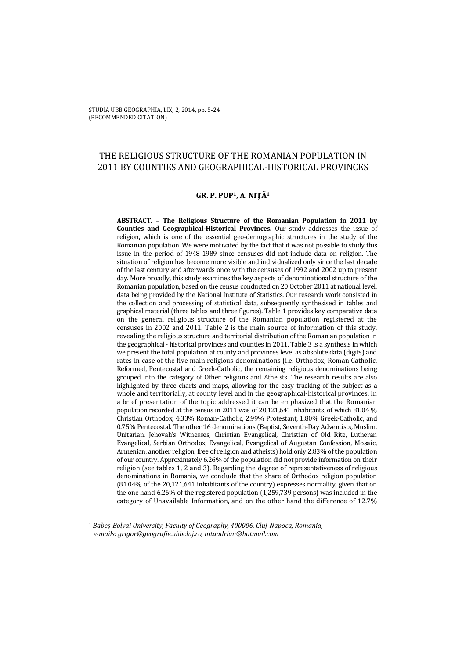# THE RELIGIOUS STRUCTURE OF THE ROMANIAN POPULATION IN 2011 BY COUNTIES AND GEOGRAPHICAL-HISTORICAL PROVINCES

## **GR. P. POP1, A. NIŢĂ<sup>1</sup>**

**ABSTRACT. – The Religious Structure of the Romanian Population in 2011 by Counties and Geographical-Historical Provinces.** Our study addresses the issue of religion, which is one of the essential geo-demographic structures in the study of the Romanian population. We were motivated by the fact that it was not possible to study this issue in the period of 1948-1989 since censuses did not include data on religion. The situation of religion has become more visible and individualized only since the last decade of the last century and afterwards once with the censuses of 1992 and 2002 up to present day. More broadly, this study examines the key aspects of denominational structure of the Romanian population, based on the census conducted on 20 October 2011 at national level, data being provided by the National Institute of Statistics. Our research work consisted in the collection and processing of statistical data, subsequently synthesised in tables and graphical material (three tables and three figures). Table 1 provides key comparative data on the general religious structure of the Romanian population registered at the censuses in 2002 and 2011. Table 2 is the main source of information of this study, revealing the religious structure and territorial distribution of the Romanian population in the geographical - historical provinces and counties in 2011. Table 3 is a synthesis in which we present the total population at county and provinces level as absolute data (digits) and rates in case of the five main religious denominations (i.e. Orthodox, Roman Catholic, Reformed, Pentecostal and Greek-Catholic, the remaining religious denominations being grouped into the category of Other religions and Atheists. The research results are also highlighted by three charts and maps, allowing for the easy tracking of the subject as a whole and territorially, at county level and in the geographical-historical provinces. In a brief presentation of the topic addressed it can be emphasized that the Romanian population recorded at the census in 2011 was of 20,121,641 inhabitants, of which 81.04 % Christian Orthodox, 4.33% Roman-Catholic, 2.99% Protestant, 1.80% Greek-Catholic, and 0.75% Pentecostal. The other 16 denominations (Baptist, Seventh-Day Adventists, Muslim, Unitarian, Jehovah's Witnesses, Christian Evangelical, Christian of Old Rite, Lutheran Evangelical, Serbian Orthodox, Evangelical, Evangelical of Augustan Confession, Mosaic, Armenian, another religion, free of religion and atheists) hold only 2.83% of the population of our country. Approximately 6.26% of the population did not provide information on their religion (see tables 1, 2 and 3). Regarding the degree of representativeness of religious denominations in Romania, we conclude that the share of Orthodox religion population (81.04% of the 20,121,641 inhabitants of the country) expresses normality, given that on the one hand 6.26% of the registered population (1,259,739 persons) was included in the category of Unavailable Information, and on the other hand the difference of 12.7%

 $\overline{a}$ 

<sup>1</sup> *Babeş-Bolyai University, Faculty of Geography, 400006, Cluj-Napoca, Romania, e-mails: grigor@geografie.ubbcluj.ro, nitaadrian@hotmail.com*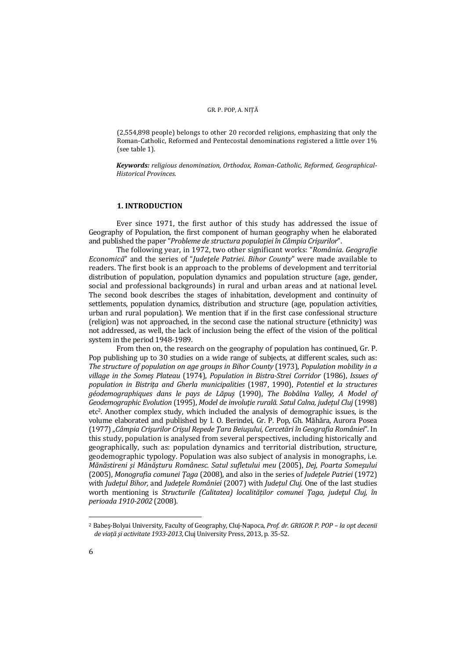#### GR. P. POP, A. NIȚĂ

(2,554,898 people) belongs to other 20 recorded religions, emphasizing that only the Roman-Catholic, Reformed and Pentecostal denominations registered a little over 1% (see table 1).

*Keywords: religious denomination, Orthodox, Roman-Catholic, Reformed, Geographical-Historical Provinces.* 

#### **1. INTRODUCTION**

Ever since 1971, the first author of this study has addressed the issue of Geography of Population, the first component of human geography when he elaborated and published the paper "*Probleme de structura populaţiei în Câmpia Crişurilor*".

The following year, in 1972, two other significant works: "*România. Geografie Economică*" and the series of "*Judeţele Patriei. Bihor County*" were made available to readers. The first book is an approach to the problems of development and territorial distribution of population, population dynamics and population structure (age, gender, social and professional backgrounds) in rural and urban areas and at national level. The second book describes the stages of inhabitation, development and continuity of settlements, population dynamics, distribution and structure (age, population activities, urban and rural population). We mention that if in the first case confessional structure (religion) was not approached, in the second case the national structure (ethnicity) was not addressed, as well, the lack of inclusion being the effect of the vision of the political system in the period 1948-1989.

From then on, the research on the geography of population has continued, Gr. P. Pop publishing up to 30 studies on a wide range of subjects, at different scales, such as: *The structure of population on age groups in Bihor County* (1973), *Population mobility in a village in the Someş Plateau* (1974), *Population in Bistra-Strei Corridor* (1986), *Issues of population in Bistriţa and Gherla municipalities* (1987, 1990), *Potentiel et la structures géodemographiques dans le pays de Lăpuş* (1990), *The Bobâlna Valley, A Model of Geodemographic Evolution* (1995), *Model de involuţie rurală. Satul Calna, judeţul Cluj* (1998) etc2. Another complex study, which included the analysis of demographic issues, is the volume elaborated and published by I. O. Berindei, Gr. P. Pop, Gh. Măhăra, Aurora Posea (1977) *"Câmpia Crişurilor Crişul Repede Ţara Beiuşului, Cercetări în Geografia României*". In this study, population is analysed from several perspectives, including historically and geographically, such as: population dynamics and territorial distribution, structure, geodemographic typology. Population was also subject of analysis in monographs, i.e. *Mănăstireni şi Mănăşturu Românesc. Satul sufletului meu* (2005), *Dej, Poarta Someşului* (2005), *Monografia comunei Ţaga* (2008), and also in the series of *Judeţele Patriei* (1972) with *Judeţul Bihor,* and *Judeţele României* (2007) with *Judeţul Cluj*. One of the last studies worth mentioning is *Structurile (Calitatea) localităţilor comunei Ţaga, judeţul Cluj, în perioada 1910-2002* (2008).

 $\overline{a}$ 

<sup>2</sup> Babeş-Bolyai University, Faculty of Geography, Cluj-Napoca, *Prof. dr. GRIGOR P. POP – la opt decenii de viaţă şi activitate 1933-2013*, Cluj University Press, 2013, p. 35-52.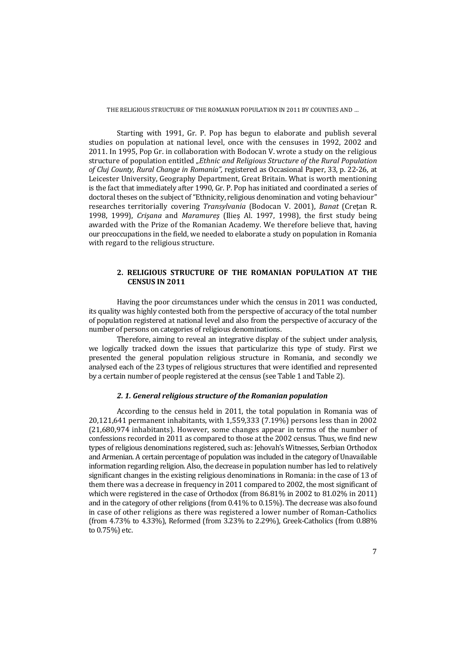Starting with 1991, Gr. P. Pop has begun to elaborate and publish several studies on population at national level, once with the censuses in 1992, 2002 and 2011. In 1995, Pop Gr. in collaboration with Bodocan V. wrote a study on the religious structure of population entitled "*Ethnic and Religious Structure of the Rural Population of Cluj County, Rural Change in Romania",* registered as Occasional Paper, 33, p. 22-26, at Leicester University, Geography Department, Great Britain. What is worth mentioning is the fact that immediately after 1990, Gr. P. Pop has initiated and coordinated a series of doctoral theses on the subject of "Ethnicity, religious denomination and voting behaviour" researches territorially covering *Transylvania* (Bodocan V. 2001), *Banat* (Cretan R. 1998, 1999), *Crişana* and *Maramureş* (Ilieş Al. 1997, 1998), the first study being awarded with the Prize of the Romanian Academy. We therefore believe that, having our preoccupations in the field, we needed to elaborate a study on population in Romania with regard to the religious structure.

## **2. RELIGIOUS STRUCTURE OF THE ROMANIAN POPULATION AT THE CENSUS IN 2011**

Having the poor circumstances under which the census in 2011 was conducted, its quality was highly contested both from the perspective of accuracy of the total number of population registered at national level and also from the perspective of accuracy of the number of persons on categories of religious denominations.

Therefore, aiming to reveal an integrative display of the subject under analysis, we logically tracked down the issues that particularize this type of study. First we presented the general population religious structure in Romania, and secondly we analysed each of the 23 types of religious structures that were identified and represented by a certain number of people registered at the census (see Table 1 and Table 2).

#### *2. 1. General religious structure of the Romanian population*

According to the census held in 2011, the total population in Romania was of 20,121,641 permanent inhabitants, with 1,559,333 (7.19%) persons less than in 2002 (21,680,974 inhabitants). However, some changes appear in terms of the number of confessions recorded in 2011 as compared to those at the 2002 census. Thus, we find new types of religious denominations registered, such as: Jehovah's Witnesses, Serbian Orthodox and Armenian. A certain percentage of population was included in the category of Unavailable information regarding religion. Also, the decrease in population number has led to relatively significant changes in the existing religious denominations in Romania: in the case of 13 of them there was a decrease in frequency in 2011 compared to 2002, the most significant of which were registered in the case of Orthodox (from 86.81% in 2002 to 81.02% in 2011) and in the category of other religions (from 0.41% to 0.15%). The decrease was also found in case of other religions as there was registered a lower number of Roman-Catholics (from 4.73% to 4.33%), Reformed (from 3.23% to 2.29%), Greek-Catholics (from 0.88% to 0.75%) etc.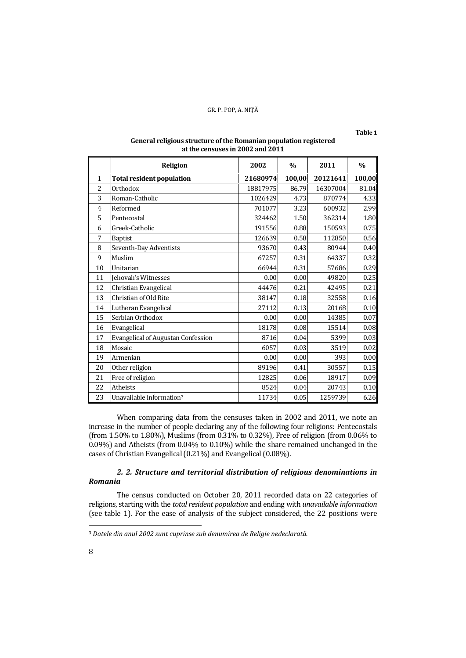**Table 1** 

| General religious structure of the Romanian population registered |
|-------------------------------------------------------------------|
| at the censuses in 2002 and 2011                                  |

|    | <b>Religion</b>                           | 2002     | $\frac{0}{0}$ | 2011     | $\frac{0}{0}$ |
|----|-------------------------------------------|----------|---------------|----------|---------------|
| 1  | <b>Total resident population</b>          | 21680974 | 100,00        | 20121641 | 100,00        |
| 2  | Orthodox                                  | 18817975 | 86.79         | 16307004 | 81.04         |
| 3  | Roman-Catholic                            | 1026429  | 4.73          | 870774   | 4.33          |
| 4  | Reformed                                  | 701077   | 3.23          | 600932   | 2.99          |
| 5  | Pentecostal                               | 324462   | 1.50          | 362314   | 1.80          |
| 6  | Greek-Catholic                            | 191556   | 0.88          | 150593   | 0.75          |
| 7  | Baptist                                   | 126639   | 0.58          | 112850   | 0.56          |
| 8  | Seventh-Day Adventists                    | 93670    | 0.43          | 80944    | 0.40          |
| 9  | Muslim                                    | 67257    | 0.31          | 64337    | 0.32          |
| 10 | Unitarian                                 | 66944    | 0.31          | 57686    | 0.29          |
| 11 | Jehovah's Witnesses                       | 0.00     | 0.00          | 49820    | 0.25          |
| 12 | Christian Evangelical                     | 44476    | 0.21          | 42495    | 0.21          |
| 13 | Christian of Old Rite                     | 38147    | 0.18          | 32558    | 0.16          |
| 14 | Lutheran Evangelical                      | 27112    | 0.13          | 20168    | 0.10          |
| 15 | Serbian Orthodox                          | 0.00     | 0.00          | 14385    | 0.07          |
| 16 | Evangelical                               | 18178    | 0.08          | 15514    | 0.08          |
| 17 | <b>Evangelical of Augustan Confession</b> | 8716     | 0.04          | 5399     | 0.03          |
| 18 | Mosaic                                    | 6057     | 0.03          | 3519     | 0.02          |
| 19 | Armenian                                  | 0.00     | 0.00          | 393      | 0.00          |
| 20 | Other religion                            | 89196    | 0.41          | 30557    | 0.15          |
| 21 | Free of religion                          | 12825    | 0.06          | 18917    | 0.09          |
| 22 | <b>Atheists</b>                           | 8524     | 0.04          | 20743    | 0.10          |
| 23 | Unavailable information <sup>3</sup>      | 11734    | 0.05          | 1259739  | 6.26          |

When comparing data from the censuses taken in 2002 and 2011, we note an increase in the number of people declaring any of the following four religions: Pentecostals (from 1.50% to 1.80%), Muslims (from 0.31% to 0.32%), Free of religion (from 0.06% to 0.09%) and Atheists (from 0.04% to 0.10%) while the share remained unchanged in the cases of Christian Evangelical (0.21%) and Evangelical (0.08%).

## *2. 2. Structure and territorial distribution of religious denominations in Romania*

The census conducted on October 20, 2011 recorded data on 22 categories of religions, starting with the *total resident population* and ending with *unavailable information* (see table 1). For the ease of analysis of the subject considered, the 22 positions were

*Datele din anul 2002 sunt cuprinse sub denumirea de Religie nedeclarată.*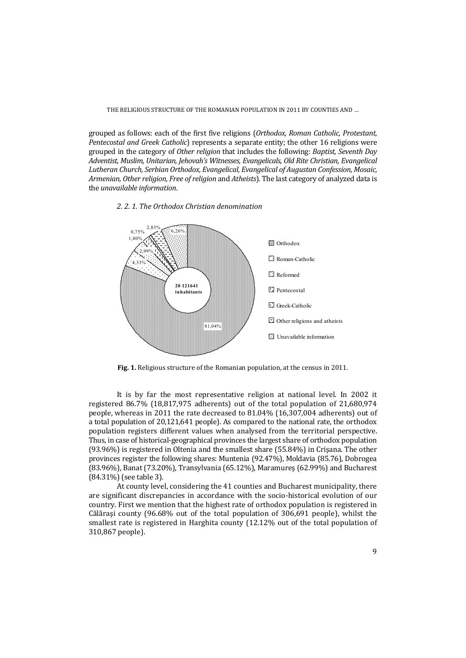grouped as follows: each of the first five religions (*Orthodox, Roman Catholic, Protestant, Pentecostal and Greek Catholic*) represents a separate entity; the other 16 religions were grouped in the category of *Other religion* that includes the following: *Baptist, Seventh Day Adventist, Muslim, Unitarian, Jehovah's Witnesses, Evangelicals, Old Rite Christian, Evangelical Lutheran Church, Serbian Orthodox, Evangelical, Evangelical of Augustan Confession, Mosaic, Armenian, Other religion, Free of religion* and *Atheists*). The last category of analyzed data is the *unavailable information*.

## *2. 2. 1. The Orthodox Christian denomination*



**Fig. 1.** Religious structure of the Romanian population, at the census in 2011.

It is by far the most representative religion at national level. In 2002 it registered 86.7% (18,817,975 adherents) out of the total population of 21,680,974 people, whereas in 2011 the rate decreased to 81.04% (16,307,004 adherents) out of a total population of 20,121,641 people). As compared to the national rate, the orthodox population registers different values when analysed from the territorial perspective. Thus, in case of historical-geographical provinces the largest share of orthodox population (93.96%) is registered in Oltenia and the smallest share (55.84%) in Crişana. The other provinces register the following shares: Muntenia (92.47%), Moldavia (85.76), Dobrogea (83.96%), Banat (73.20%), Transylvania (65.12%), Maramureş (62.99%) and Bucharest (84.31%) (see table 3).

At county level, considering the 41 counties and Bucharest municipality, there are significant discrepancies in accordance with the socio-historical evolution of our country. First we mention that the highest rate of orthodox population is registered in Călăraşi county (96.68% out of the total population of 306,691 people), whilst the smallest rate is registered in Harghita county (12.12% out of the total population of 310,867 people).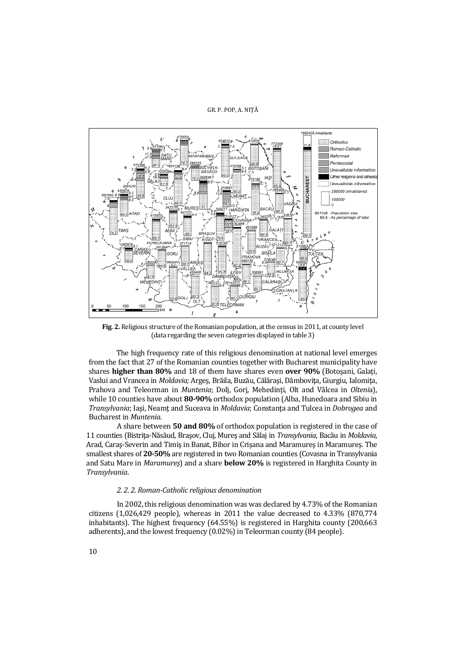

**Fig. 2.** Religious structure of the Romanian population, at the census in 2011, at county level (data regarding the seven categories displayed in table 3)

 The high frequency rate of this religious denomination at national level emerges from the fact that 27 of the Romanian counties together with Bucharest municipality have shares **higher than 80%** and 18 of them have shares even **over 90%** (Botoşani, Galaţi, Vaslui and Vrancea in *Moldavia;* Argeş, Brăila, Buzău, Călăraşi, Dâmboviţa, Giurgiu, Ialomiţa, Prahova and Teleorman in *Muntenia*; Dolj, Gorj, Mehedinţi, Olt and Vâlcea in *Olteni*a), while 10 counties have about **80-90%** orthodox population (Alba, Hunedoara and Sibiu in *Transylvania*; Iaşi, Neamţ and Suceava in *Moldavia*; Constanţa and Tulcea in *Dobrogea* and Bucharest in *Muntenia.*

 A share between **50 and 80%** of orthodox population is registered in the case of 11 counties (Bistriţa-Năsăud, Braşov, Cluj, Mureş and Sălaj in *Transylvania*, Bacău in *Moldavia*, Arad, Caraş-Severin and Timiş in Banat, Bihor in Crişana and Maramureş in Maramureş. The smallest shares of **20-50%** are registered in two Romanian counties (Covasna in Transylvania and Satu Mare in *Maramureş*) and a share **below 20%** is registered in Harghita County in *Transylvania*.

#### *2. 2. 2. Roman-Catholic religious denomination*

 In 2002, this religious denomination was was declared by 4.73% of the Romanian citizens (1,026,429 people), whereas in 2011 the value decreased to 4.33% (870,774 inhabitants). The highest frequency (64.55%) is registered in Harghita county (200,663 adherents), and the lowest frequency (0.02%) in Teleorman county (84 people).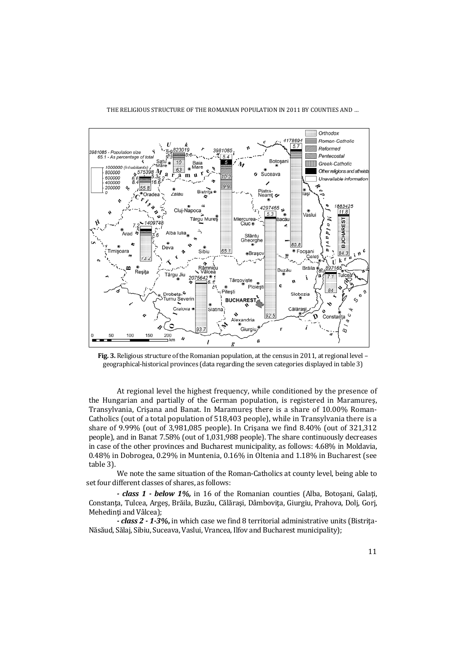

**Fig. 3.** Religious structure of the Romanian population, at the census in 2011, at regional level – geographical-historical provinces (data regarding the seven categories displayed in table 3)

 At regional level the highest frequency, while conditioned by the presence of the Hungarian and partially of the German population, is registered in Maramureş, Transylvania, Crişana and Banat. In Maramureş there is a share of 10.00% Roman-Catholics (out of a total population of 518,403 people), while in Transylvania there is a share of 9.99% (out of 3,981,085 people). In Crişana we find 8.40% (out of 321,312 people), and in Banat 7.58% (out of 1,031,988 people). The share continuously decreases in case of the other provinces and Bucharest municipality, as follows: 4.68% in Moldavia, 0.48% in Dobrogea, 0.29% in Muntenia, 0.16% in Oltenia and 1.18% in Bucharest (see table 3).

 We note the same situation of the Roman-Catholics at county level, being able to set four different classes of shares, as follows:

 *- class 1 - below 1%,* in 16 of the Romanian counties (Alba, Botoşani, Galaţi, Constanta, Tulcea, Arges, Brăila, Buzău, Călărași, Dâmbovita, Giurgiu, Prahova, Dolj, Gorj, Mehedinti and Vâlcea):

*- class 2 - 1-3%***,** in which case we find 8 territorial administrative units (Bistriţa-Năsăud, Sălaj, Sibiu, Suceava, Vaslui, Vrancea, Ilfov and Bucharest municipality);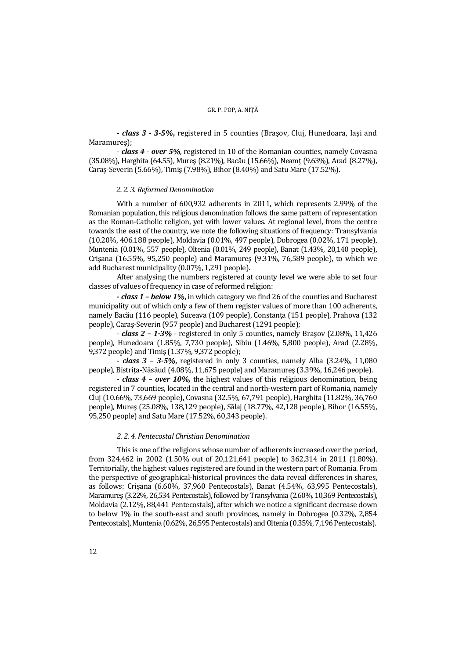*- class 3 - 3-5%***,** registered in 5 counties (Braşov, Cluj, Hunedoara, Iaşi and Maramureş);

 - *class 4* - *over 5%,* registered in 10 of the Romanian counties, namely Covasna (35.08%), Harghita (64.55), Mureş (8.21%), Bacău (15.66%), Neamţ (9.63%), Arad (8.27%), Caraş-Severin (5.66%), Timiş (7.98%), Bihor (8.40%) and Satu Mare (17.52%).

## *2. 2. 3. Reformed Denomination*

With a number of 600,932 adherents in 2011, which represents 2.99% of the Romanian population, this religious denomination follows the same pattern of representation as the Roman-Catholic religion, yet with lower values. At regional level, from the centre towards the east of the country, we note the following situations of frequency: Transylvania (10.20%, 406.188 people), Moldavia (0.01%, 497 people), Dobrogea (0.02%, 171 people), Muntenia (0.01%, 557 people), Oltenia (0.01%, 249 people), Banat (1.43%, 20,140 people), Crişana (16.55%, 95,250 people) and Maramureş (9.31%, 76,589 people), to which we add Bucharest municipality (0.07%, 1,291 people).

After analysing the numbers registered at county level we were able to set four classes of values of frequency in case of reformed religion:

**-** *class 1* **–** *below 1%***,** in which category we find 26 of the counties and Bucharest municipality out of which only a few of them register values of more than 100 adherents, namely Bacău (116 people), Suceava (109 people), Constanța (151 people), Prahova (132 people), Caraş-Severin (957 people) and Bucharest (1291 people);

- *class 2 – 1-3%* - registered in only 5 counties, namely Braşov (2.08%, 11,426 people), Hunedoara (1.85%, 7,730 people), Sibiu (1.46%, 5,800 people), Arad (2.28%, 9,372 people) and Timiş (1.37%, 9,372 people);

- *class 3* – *3-5%***,** registered in only 3 counties, namely Alba (3.24%, 11,080 people), Bistrița-Năsăud (4.08%, 11,675 people) and Maramures (3.39%, 16,246 people).

- *class 4* – *over 10%,* the highest values of this religious denomination, being registered in 7 counties, located in the central and north-western part of Romania, namely Cluj (10.66%, 73,669 people), Covasna (32.5%, 67,791 people), Harghita (11.82%, 36,760 people), Mureş (25.08%, 138,129 people), Sălaj (18.77%, 42,128 people), Bihor (16.55%, 95,250 people) and Satu Mare (17.52%, 60,343 people).

## *2. 2. 4. Pentecostal Christian Denomination*

This is one of the religions whose number of adherents increased over the period, from 324,462 in 2002 (1.50% out of 20,121,641 people) to 362,314 in 2011 (1.80%). Territorially, the highest values registered are found in the western part of Romania. From the perspective of geographical-historical provinces the data reveal differences in shares, as follows: Crişana (6.60%, 37,960 Pentecostals), Banat (4.54%, 63,995 Pentecostals), Maramureş (3.22%, 26,534 Pentecostals), followed by Transylvania (2.60%, 10,369 Pentecostals), Moldavia (2.12%, 88,441 Pentecostals), after which we notice a significant decrease down to below 1% in the south-east and south provinces, namely in Dobrogea (0.32%, 2,854 Pentecostals), Muntenia (0.62%, 26,595 Pentecostals) and Oltenia (0.35%, 7,196 Pentecostals).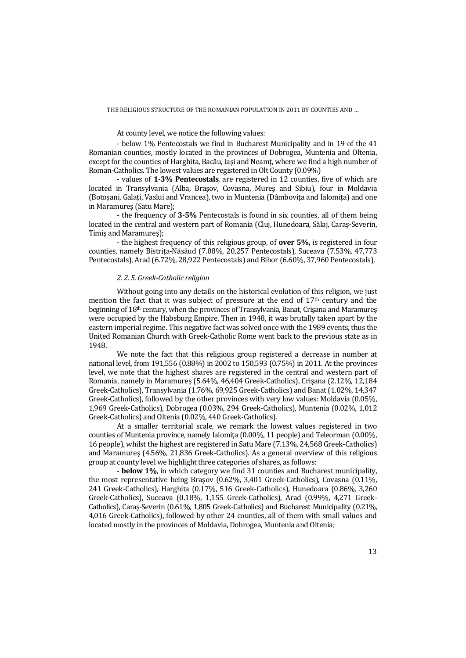At county level, we notice the following values:

- below 1% Pentecostals we find in Bucharest Municipality and in 19 of the 41 Romanian counties, mostly located in the provinces of Dobrogea, Muntenia and Oltenia, except for the counties of Harghita, Bacău, Iași and Neamt, where we find a high number of Roman-Catholics. The lowest values are registered in Olt County (0.09%)

- values of **1-3% Pentecostals**, are registered in 12 counties, five of which are located in Transylvania (Alba, Braşov, Covasna, Mureş and Sibiu), four in Moldavia (Botoşani, Galaţi, Vaslui and Vrancea), two in Muntenia (Dâmboviţa and Ialomiţa) and one in Maramureş (Satu Mare);

- the frequency of **3-5%** Pentecostals is found in six counties, all of them being located in the central and western part of Romania (Cluj, Hunedoara, Sălaj, Caraş-Severin, Timiş and Maramureş);

 - the highest frequency of this religious group, of **over 5%,** is registered in four counties, namely Bistrița-Năsăud (7.08%, 20,257 Pentecostals), Suceava (7.53%, 47,773 Pentecostals), Arad (6.72%, 28,922 Pentecostals) and Bihor (6.60%, 37,960 Pentecostals).

#### *2. 2. 5. Greek-Catholic religion*

Without going into any details on the historical evolution of this religion, we just mention the fact that it was subject of pressure at the end of  $17<sup>th</sup>$  century and the beginning of 18<sup>th</sup> century, when the provinces of Transylvania, Banat, Crisana and Maramures were occupied by the Habsburg Empire. Then in 1948, it was brutally taken apart by the eastern imperial regime. This negative fact was solved once with the 1989 events, thus the United Romanian Church with Greek-Catholic Rome went back to the previous state as in 1948.

We note the fact that this religious group registered a decrease in number at national level, from 191,556 (0.88%) in 2002 to 150,593 (0.75%) in 2011. At the provinces level, we note that the highest shares are registered in the central and western part of Romania, namely in Maramureş (5.64%, 46,404 Greek-Catholics), Crişana (2.12%, 12,184 Greek-Catholics), Transylvania (1.76%, 69,925 Greek-Catholics) and Banat (1.02%, 14,347 Greek-Catholics), followed by the other provinces with very low values: Moldavia (0.05%, 1,969 Greek-Catholics), Dobrogea (0.03%, 294 Greek-Catholics), Muntenia (0.02%, 1,012 Greek-Catholics) and Oltenia (0.02%, 440 Greek-Catholics).

At a smaller territorial scale, we remark the lowest values registered in two counties of Muntenia province, namely Ialomiţa (0.00%, 11 people) and Teleorman (0.00%, 16 people), whilst the highest are registered in Satu Mare (7.13%, 24,568 Greek-Catholics) and Maramureş (4.56%, 21,836 Greek-Catholics). As a general overview of this religious group at county level we highlight three categories of shares, as follows:

 - **below 1%**, in which category we find 31 counties and Bucharest municipality, the most representative being Braşov (0.62%, 3,401 Greek-Catholics), Covasna (0.11%, 241 Greek-Catholics), Harghita (0.17%, 516 Greek-Catholics), Hunedoara (0.86%, 3,260 Greek-Catholics), Suceava (0.18%, 1,155 Greek-Catholics), Arad (0.99%, 4,271 Greek-Catholics), Caraş-Severin (0.61%, 1,805 Greek-Catholics) and Bucharest Municipality (0.21%, 4,016 Greek-Catholics), followed by other 24 counties, all of them with small values and located mostly in the provinces of Moldavia, Dobrogea, Muntenia and Oltenia;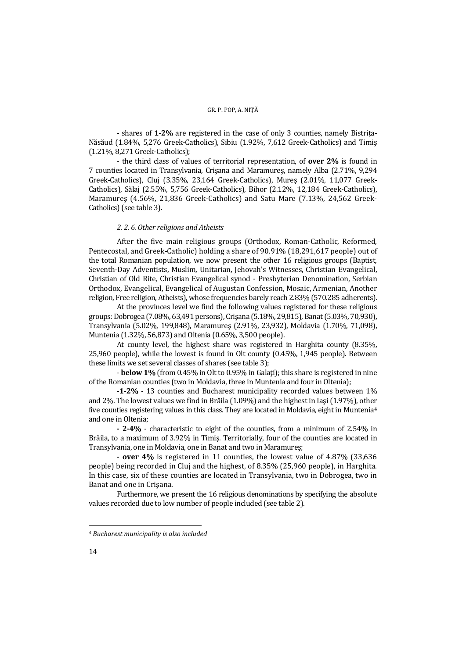- shares of **1-2%** are registered in the case of only 3 counties, namely Bistriţa-Năsăud (1.84%, 5,276 Greek-Catholics), Sibiu (1.92%, 7,612 Greek-Catholics) and Timiş (1.21%, 8,271 Greek-Catholics);

- the third class of values of territorial representation, of **over 2%** is found in 7 counties located in Transylvania, Crişana and Maramureş, namely Alba (2.71%, 9,294 Greek-Catholics), Cluj (3.35%, 23,164 Greek-Catholics), Mureş (2.01%, 11,077 Greek-Catholics), Sălaj (2.55%, 5,756 Greek-Catholics), Bihor (2.12%, 12,184 Greek-Catholics), Maramureş (4.56%, 21,836 Greek-Catholics) and Satu Mare (7.13%, 24,562 Greek-Catholics) (see table 3).

## *2. 2. 6. Other religions and Atheists*

After the five main religious groups (Orthodox, Roman-Catholic, Reformed, Pentecostal, and Greek-Catholic) holding a share of 90.91% (18,291,617 people) out of the total Romanian population, we now present the other 16 religious groups (Baptist, Seventh-Day Adventists, Muslim, Unitarian, Jehovah's Witnesses, Christian Evangelical, Christian of Old Rite, Christian Evangelical synod - Presbyterian Denomination, Serbian Orthodox, Evangelical, Evangelical of Augustan Confession, Mosaic, Armenian, Another religion, Free religion, Atheists), whose frequencies barely reach 2.83% (570.285 adherents).

At the provinces level we find the following values registered for these religious groups: Dobrogea (7.08%, 63,491 persons), Crişana (5.18%, 29,815), Banat (5.03%, 70,930), Transylvania (5.02%, 199,848), Maramureş (2.91%, 23,932), Moldavia (1.70%, 71,098), Muntenia (1.32%, 56,873) and Oltenia (0.65%, 3,500 people).

At county level, the highest share was registered in Harghita county (8.35%, 25,960 people), while the lowest is found in Olt county (0.45%, 1,945 people). Between these limits we set several classes of shares (see table 3);

- **below 1%** (from 0.45% in Olt to 0.95% in Galaţi); this share is registered in nine of the Romanian counties (two in Moldavia, three in Muntenia and four in Oltenia);

 -**1-2%** - 13 counties and Bucharest municipality recorded values between 1% and 2%. The lowest values we find in Brăila (1.09%) and the highest in Iaşi (1.97%), other five counties registering values in this class. They are located in Moldavia, eight in Muntenia4 and one in Oltenia;

 **- 2-4%** - characteristic to eight of the counties, from a minimum of 2.54% in Brăila, to a maximum of 3.92% in Timiş. Territorially, four of the counties are located in Transylvania, one in Moldavia, one in Banat and two in Maramureş;

 - **over 4%** is registered in 11 counties, the lowest value of 4.87% (33,636 people) being recorded in Cluj and the highest, of 8.35% (25,960 people), in Harghita. In this case, six of these counties are located in Transylvania, two in Dobrogea, two in Banat and one in Crişana.

Furthermore, we present the 16 religious denominations by specifying the absolute values recorded due to low number of people included (see table 2).

<sup>4</sup> *Bucharest municipality is also included*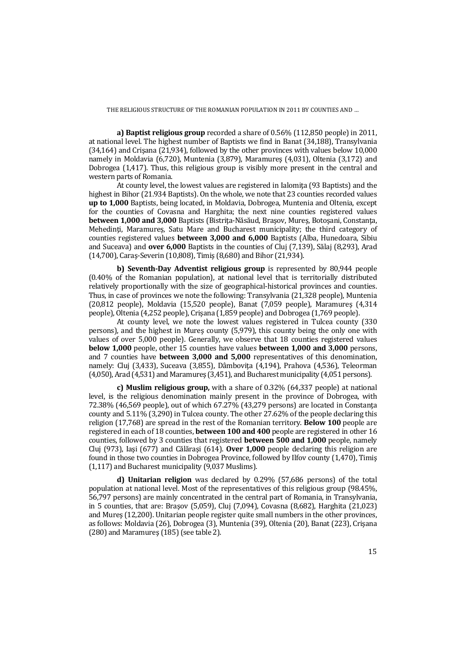**a) Baptist religious group** recorded a share of 0.56% (112,850 people) in 2011, at national level. The highest number of Baptists we find in Banat (34,188), Transylvania (34,164) and Crişana (21,934), followed by the other provinces with values below 10,000 namely in Moldavia (6,720), Muntenia (3,879), Maramureş (4,031), Oltenia (3,172) and Dobrogea (1,417). Thus, this religious group is visibly more present in the central and western parts of Romania.

At county level, the lowest values are registered in Ialomita (93 Baptists) and the highest in Bihor (21.934 Baptists). On the whole, we note that 23 counties recorded values **up to 1,000** Baptists, being located, in Moldavia, Dobrogea, Muntenia and Oltenia, except for the counties of Covasna and Harghita; the next nine counties registered values **between 1,000 and 3,000** Baptists (Bistrita-Năsăud, Brașov, Mureș, Botoșani, Constanța, Mehedinti, Maramures, Satu Mare and Bucharest municipality; the third category of counties registered values **between 3,000 and 6,000** Baptists (Alba, Hunedoara, Sibiu and Suceava) and **over 6,000** Baptists in the counties of Cluj (7,139), Sălaj (8,293), Arad (14,700), Caraş-Severin (10,808), Timiş (8,680) and Bihor (21,934).

**b) Seventh-Day Adventist religious group** is represented by 80,944 people (0.40% of the Romanian population), at national level that is territorially distributed relatively proportionally with the size of geographical-historical provinces and counties. Thus, in case of provinces we note the following: Transylvania (21,328 people), Muntenia (20,812 people), Moldavia (15,520 people), Banat (7,059 people), Maramureş (4,314 people), Oltenia (4,252 people), Crişana (1,859 people) and Dobrogea (1,769 people).

 At county level, we note the lowest values registered in Tulcea county (330 persons), and the highest in Mureş county (5,979), this county being the only one with values of over 5,000 people). Generally, we observe that 18 counties registered values **below 1,000** people, other 15 counties have values **between 1,000 and 3,000** persons, and 7 counties have **between 3,000 and 5,000** representatives of this denomination, namely: Cluj (3,433), Suceava (3,855), Dâmboviţa (4,194), Prahova (4,536), Teleorman (4,050), Arad (4,531) and Maramureş (3,451), and Bucharest municipality (4,051 persons).

**c) Muslim religious group,** with a share of 0.32% (64,337 people) at national level, is the religious denomination mainly present in the province of Dobrogea, with 72.38% (46,569 people), out of which 67.27% (43,279 persons) are located in Constanta county and 5.11% (3,290) in Tulcea county. The other 27.62% of the people declaring this religion (17,768) are spread in the rest of the Romanian territory. **Below 100** people are registered in each of 18 counties, **between 100 and 400** people are registered in other 16 counties, followed by 3 counties that registered **between 500 and 1,000** people, namely Cluj (973), Iaşi (677) and Călăraşi (614). **Over 1,000** people declaring this religion are found in those two counties in Dobrogea Province, followed by Ilfov county (1,470), Timiş (1,117) and Bucharest municipality (9,037 Muslims).

**d) Unitarian religion** was declared by 0.29% (57,686 persons) of the total population at national level. Most of the representatives of this religious group (98.45%, 56,797 persons) are mainly concentrated in the central part of Romania, in Transylvania, in 5 counties, that are: Braşov (5,059), Cluj (7,094), Covasna (8,682), Harghita (21,023) and Mureş (12,200). Unitarian people register quite small numbers in the other provinces, as follows: Moldavia (26), Dobrogea (3), Muntenia (39), Oltenia (20), Banat (223), Crişana (280) and Maramureş (185) (see table 2).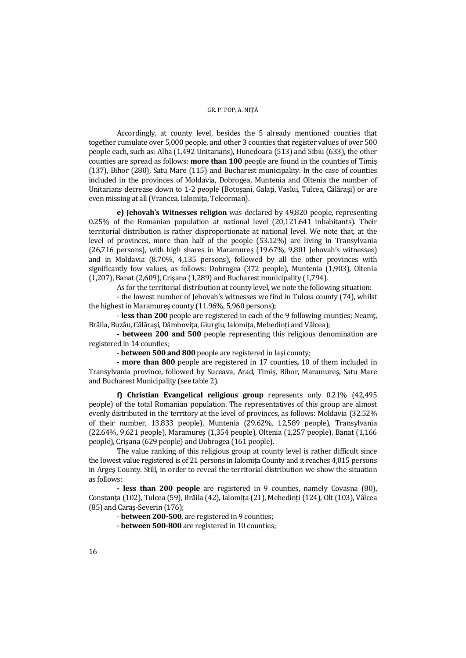Accordingly, at county level, besides the 5 already mentioned counties that together cumulate over 5,000 people, and other 3 counties that register values of over 500 people each, such as: Alba (1,492 Unitarians), Hunedoara (513) and Sibiu (633), the other counties are spread as follows: **more than 100** people are found in the counties of Timiş (137), Bihor (280), Satu Mare (115) and Bucharest municipality. In the case of counties included in the provinces of Moldavia, Dobrogea, Muntenia and Oltenia the number of Unitarians decrease down to 1-2 people (Botoşani, Galaţi, Vaslui, Tulcea, Călăraşi) or are even missing at all (Vrancea, Ialomiţa, Teleorman).

**e) Jehovah's Witnesses religion** was declared by 49,820 people, representing 0.25% of the Romanian population at national level (20,121.641 inhabitants). Their territorial distribution is rather disproportionate at national level. We note that, at the level of provinces, more than half of the people (53.12%) are living in Transylvania (26,716 persons), with high shares in Maramureş (19.67%, 9,801 Jehovah's witnesses) and in Moldavia (8.70%, 4,135 persons), followed by all the other provinces with significantly low values, as follows: Dobrogea (372 people), Muntenia (1,903), Oltenia (1,207), Banat (2,609), Crişana (1,289) and Bucharest municipality (1,794).

As for the territorial distribution at county level, we note the following situation:

 - the lowest number of Jehovah's witnesses we find in Tulcea county (74), whilst the highest in Maramureş county (11.96%, 5,960 persons);

 - **less than 200** people are registered in each of the 9 following counties: Neamţ, Brăila, Buzău, Călărași, Dâmbovita, Giurgiu, Ialomita, Mehedinți and Vâlcea);

- **between 200 and 500** people representing this religious denomination are registered in 14 counties;

- **between 500 and 800** people are registered in Iaşi county;

- **more than 800** people are registered in 17 counties**,** 10 of them included in Transylvania province, followed by Suceava, Arad, Timiş, Bihor, Maramureş, Satu Mare and Bucharest Municipality (see table 2).

**f) Christian Evangelical religious group** represents only 0.21% (42,495 people) of the total Romanian population. The representatives of this group are almost evenly distributed in the territory at the level of provinces, as follows: Moldavia (32.52% of their number, 13,833 people), Muntenia (29.62%, 12,589 people), Transylvania (22.64%, 9,621 people), Maramureş (1,354 people), Oltenia (1,257 people), Banat (1,166 people), Crişana (629 people) and Dobrogea (161 people).

The value ranking of this religious group at county level is rather difficult since the lowest value registered is of 21 persons in Ialomita County and it reaches 4,015 persons in Argeş County. Still, in order to reveal the territorial distribution we show the situation as follows:

**- less than 200 people** are registered in 9 counties, namely Covasna (80), Constanţa (102), Tulcea (59), Brăila (42), Ialomiţa (21), Mehedinţi (124), Olt (103), Vâlcea (85) and Caraş-Severin (176);

- **between 200-500**, are registered in 9 counties;

- **between 500-800** are registered in 10 counties;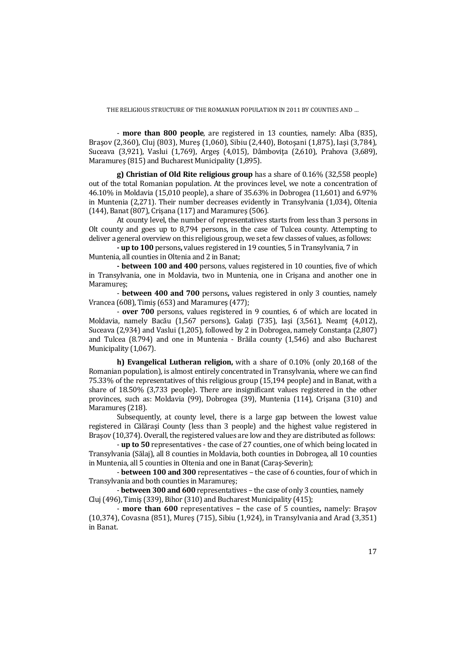- **more than 800 people**, are registered in 13 counties, namely: Alba (835), Braşov (2,360), Cluj (803), Mureş (1,060), Sibiu (2,440), Botoşani (1,875), Iaşi (3,784), Suceava (3,921), Vaslui (1,769), Arges (4,015), Dâmbovita (2,610), Prahova (3,689), Maramureş (815) and Bucharest Municipality (1,895).

**g) Christian of Old Rite religious group** has a share of 0.16% (32,558 people) out of the total Romanian population. At the provinces level, we note a concentration of 46.10% in Moldavia (15,010 people), a share of 35.63% in Dobrogea (11,601) and 6.97% in Muntenia (2,271). Their number decreases evidently in Transylvania (1,034), Oltenia (144), Banat (807), Crişana (117) and Maramureş (506).

At county level, the number of representatives starts from less than 3 persons in Olt county and goes up to 8,794 persons, in the case of Tulcea county. Attempting to deliver a general overview on this religious group, we set a few classes of values, as follows:

 **- up to 100** persons**,** values registered in 19 counties, 5 in Transylvania, 7 in Muntenia, all counties in Oltenia and 2 in Banat;

 **- between 100 and 400** persons, values registered in 10 counties, five of which in Transylvania, one in Moldavia, two in Muntenia, one in Crişana and another one in Maramureş;

- **between 400 and 700** persons**,** values registered in only 3 counties, namely Vrancea (608), Timiş (653) and Maramureş (477);

 - **over 700** persons, values registered in 9 counties, 6 of which are located in Moldavia, namely Bacău (1,567 persons), Galaţi (735), Iaşi (3,561), Neamţ (4,012), Suceava (2,934) and Vaslui (1,205), followed by 2 in Dobrogea, namely Constanta (2,807) and Tulcea (8.794) and one in Muntenia - Brăila county (1,546) and also Bucharest Municipality (1,067).

**h) Evangelical Lutheran religion,** with a share of 0.10% (only 20,168 of the Romanian population), is almost entirely concentrated in Transylvania, where we can find 75.33% of the representatives of this religious group (15,194 people) and in Banat, with a share of 18.50% (3,733 people). There are insignificant values registered in the other provinces, such as: Moldavia (99), Dobrogea (39), Muntenia (114), Crişana (310) and Maramureş (218).

 Subsequently, at county level, there is a large gap between the lowest value registered in Călăraşi County (less than 3 people) and the highest value registered in Braşov (10,374). Overall, the registered values are low and they are distributed as follows:

- **up to 50** representatives - the case of 27 counties, one of which being located in Transylvania (Sălaj), all 8 counties in Moldavia, both counties in Dobrogea, all 10 counties in Muntenia, all 5 counties in Oltenia and one in Banat (Caraş-Severin);

 - **between 100 and 300** representatives – the case of 6 counties, four of which in Transylvania and both counties in Maramureş;

- **between 300 and 600** representatives – the case of only 3 counties, namely Cluj (496), Timiş (339), Bihor (310) and Bucharest Municipality (415);

 - **more than 600** representatives **–** the case of 5 counties**,** namely: Braşov (10,374), Covasna (851), Mureş (715), Sibiu (1,924), in Transylvania and Arad (3,351) in Banat.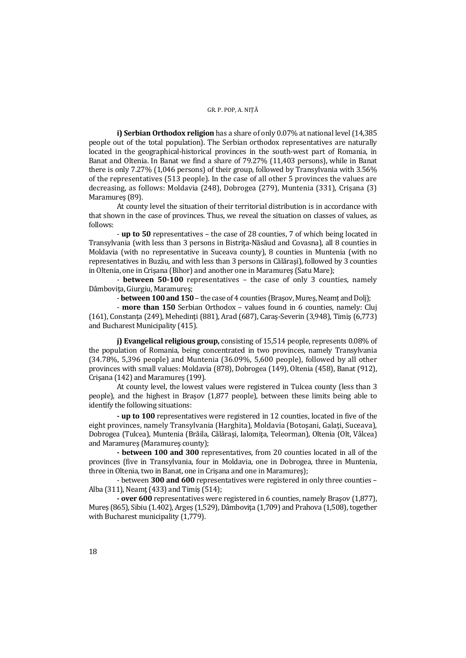**i) Serbian Orthodox religion** has a share of only 0.07% at national level (14,385 people out of the total population). The Serbian orthodox representatives are naturally located in the geographical-historical provinces in the south-west part of Romania, in Banat and Oltenia. In Banat we find a share of 79.27% (11,403 persons), while in Banat there is only 7.27% (1,046 persons) of their group, followed by Transylvania with 3.56% of the representatives (513 people). In the case of all other 5 provinces the values are decreasing, as follows: Moldavia (248), Dobrogea (279), Muntenia (331), Crişana (3) Maramureş (89).

 At county level the situation of their territorial distribution is in accordance with that shown in the case of provinces. Thus, we reveal the situation on classes of values, as follows:

 - **up to 50** representatives – the case of 28 counties, 7 of which being located in Transylvania (with less than 3 persons in Bistriţa-Năsăud and Covasna), all 8 counties in Moldavia (with no representative in Suceava county), 8 counties in Muntenia (with no representatives in Buzău, and with less than 3 persons in Călăraşi), followed by 3 counties in Oltenia, one in Crisana (Bihor) and another one in Maramures (Satu Mare);

 - **between 50-100** representatives – the case of only 3 counties, namely Dâmboviţa, Giurgiu, Maramureş;

- **between 100 and 150** – the case of 4 counties (Braşov, Mureş, Neamţ and Dolj);

- **more than 150** Serbian Orthodox – values found in 6 counties, namely: Cluj (161), Constanţa (249), Mehedinţi (881), Arad (687), Caraş-Severin (3,948), Timiş (6,773) and Bucharest Municipality (415).

**j) Evangelical religious group,** consisting of 15,514 people, represents 0.08% of the population of Romania, being concentrated in two provinces, namely Transylvania (34.78%, 5,396 people) and Muntenia (36.09%, 5,600 people), followed by all other provinces with small values: Moldavia (878), Dobrogea (149), Oltenia (458), Banat (912), Crişana (142) and Maramureş (199).

 At county level, the lowest values were registered in Tulcea county (less than 3 people), and the highest in Braşov (1,877 people), between these limits being able to identify the following situations:

**- up to 100** representatives were registered in 12 counties, located in five of the eight provinces, namely Transylvania (Harghita), Moldavia (Botoşani, Galaţi, Suceava), Dobrogea (Tulcea), Muntenia (Brăila, Călăraşi, Ialomiţa, Teleorman), Oltenia (Olt, Vâlcea) and Maramureş (Maramureş county);

**- between 100 and 300** representatives, from 20 counties located in all of the provinces (five in Transylvania, four in Moldavia, one in Dobrogea, three in Muntenia, three in Oltenia, two in Banat, one in Crişana and one in Maramureş);

 - between **300 and 600** representatives were registered in only three counties – Alba (311), Neamţ (433) and Timiş (514);

**- over 600** representatives were registered in 6 counties, namely Braşov (1,877), Mures (865), Sibiu (1.402), Arges (1,529), Dâmbovita (1,709) and Prahova (1,508), together with Bucharest municipality (1,779).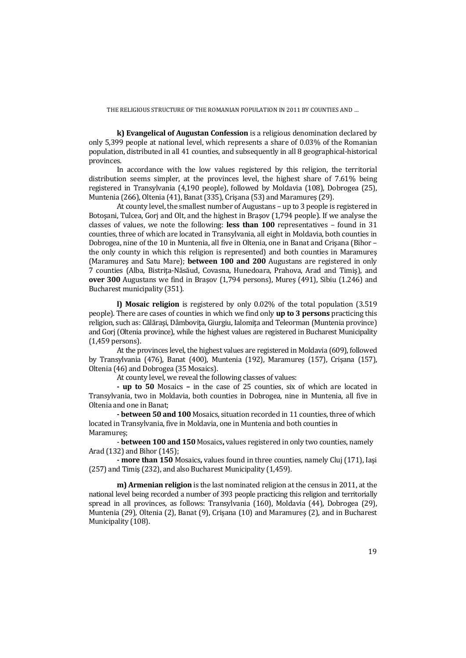**k) Evangelical of Augustan Confession** is a religious denomination declared by only 5,399 people at national level, which represents a share of 0.03% of the Romanian population, distributed in all 41 counties, and subsequently in all 8 geographical-historical provinces.

 In accordance with the low values registered by this religion, the territorial distribution seems simpler, at the provinces level, the highest share of 7.61% being registered in Transylvania (4,190 people), followed by Moldavia (108), Dobrogea (25), Muntenia (266), Oltenia (41), Banat (335), Crişana (53) and Maramureş (29).

 At county level, the smallest number of Augustans – up to 3 people is registered in Botoşani, Tulcea, Gorj and Olt, and the highest in Braşov (1,794 people). If we analyse the classes of values, we note the following: **less than 100** representatives – found in 31 counties, three of which are located in Transylvania, all eight in Moldavia, both counties in Dobrogea, nine of the 10 in Muntenia, all five in Oltenia, one in Banat and Crişana (Bihor – the only county in which this religion is represented) and both counties in Maramureş (Maramureş and Satu Mare); **between 100 and 200** Augustans are registered in only 7 counties (Alba, Bistriţa-Năsăud, Covasna, Hunedoara, Prahova, Arad and Timiş), and **over 300** Augustans we find in Braşov (1,794 persons), Mureş (491), Sibiu (1.246) and Bucharest municipality (351).

**l) Mosaic religion** is registered by only 0.02% of the total population (3.519 people). There are cases of counties in which we find only **up to 3 persons** practicing this religion, such as: Călăraşi, Dâmboviţa, Giurgiu, Ialomiţa and Teleorman (Muntenia province) and Gorj (Oltenia province), while the highest values are registered in Bucharest Municipality (1,459 persons).

At the provinces level, the highest values are registered in Moldavia (609), followed by Transylvania (476), Banat (400), Muntenia (192), Maramureş (157), Crişana (157), Oltenia (46) and Dobrogea (35 Mosaics).

At county level, we reveal the following classes of values:

**- up to 50** Mosaics **–** in the case of 25 counties, six of which are located in Transylvania, two in Moldavia, both counties in Dobrogea, nine in Muntenia, all five in Oltenia and one in Banat;

**- between 50 and 100** Mosaics, situation recorded in 11 counties, three of which located in Transylvania, five in Moldavia, one in Muntenia and both counties in Maramureş;

 - **between 100 and 150** Mosaics**,** values registered in only two counties, namely Arad (132) and Bihor (145);

 **- more than 150** Mosaics**,** values found in three counties, namely Cluj (171), Iaşi (257) and Timiş (232), and also Bucharest Municipality (1,459).

**m) Armenian religion** is the last nominated religion at the census in 2011, at the national level being recorded a number of 393 people practicing this religion and territorially spread in all provinces, as follows: Transylvania (160), Moldavia (44), Dobrogea (29), Muntenia (29), Oltenia (2), Banat (9), Crişana (10) and Maramureş (2), and in Bucharest Municipality (108).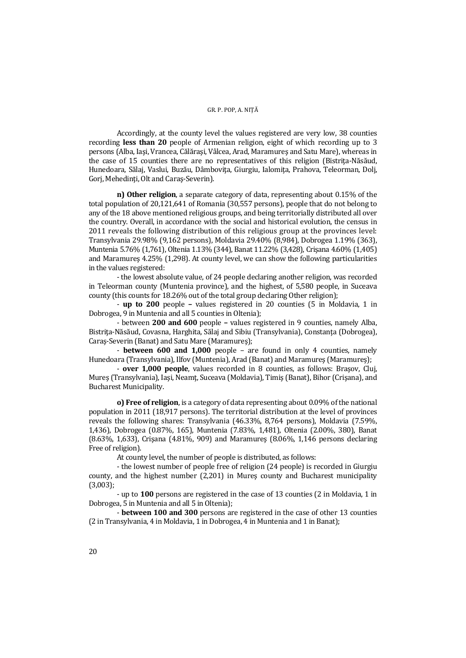#### GR. P. POP, A. NIȚĂ

 Accordingly, at the county level the values registered are very low, 38 counties recording **less than 20** people of Armenian religion, eight of which recording up to 3 persons (Alba, Iaşi, Vrancea, Călăraşi, Vâlcea, Arad, Maramureş and Satu Mare), whereas in the case of 15 counties there are no representatives of this religion (Bistrita-Năsăud, Hunedoara, Sălaj, Vaslui, Buzău, Dâmboviţa, Giurgiu, Ialomiţa, Prahova, Teleorman, Dolj, Gorj, Mehedinți, Olt and Caraș-Severin).

**n) Other religion**, a separate category of data, representing about 0.15% of the total population of 20,121,641 of Romania (30,557 persons), people that do not belong to any of the 18 above mentioned religious groups, and being territorially distributed all over the country. Overall, in accordance with the social and historical evolution, the census in 2011 reveals the following distribution of this religious group at the provinces level: Transylvania 29.98% (9,162 persons), Moldavia 29.40% (8,984), Dobrogea 1.19% (363), Muntenia 5.76% (1,761), Oltenia 1.13% (344), Banat 11.22% (3,428), Crişana 4.60% (1,405) and Maramureş 4.25% (1,298). At county level, we can show the following particularities in the values registered:

 - the lowest absolute value, of 24 people declaring another religion, was recorded in Teleorman county (Muntenia province), and the highest, of 5,580 people, in Suceava county (this counts for 18.26% out of the total group declaring Other religion);

 - **up to 200** people **–** values registered in 20 counties (5 in Moldavia, 1 in Dobrogea, 9 in Muntenia and all 5 counties in Oltenia);

 - between **200 and 600** people **–** values registered in 9 counties, namely Alba, Bistrita-Năsăud, Covasna, Harghita, Sălaj and Sibiu (Transylvania), Constanta (Dobrogea), Caraş-Severin (Banat) and Satu Mare (Maramureş);

 - **between 600 and 1,000** people – are found in only 4 counties, namely Hunedoara (Transylvania), Ilfov (Muntenia), Arad (Banat) and Maramureş (Maramureş);

 - **over 1,000 people**, values recorded in 8 counties, as follows: Braşov, Cluj, Mureş (Transylvania), Iaşi, Neamţ, Suceava (Moldavia), Timiş (Banat), Bihor (Crişana), and Bucharest Municipality.

**o) Free of religion**, is a category of data representing about 0.09% of the national population in 2011 (18,917 persons). The territorial distribution at the level of provinces reveals the following shares: Transylvania (46.33%, 8,764 persons), Moldavia (7.59%, 1,436), Dobrogea (0.87%, 165), Muntenia (7.83%, 1,481), Oltenia (2.00%, 380), Banat (8.63%, 1,633), Crişana (4.81%, 909) and Maramureş (8.06%, 1,146 persons declaring Free of religion).

At county level, the number of people is distributed, as follows:

- the lowest number of people free of religion (24 people) is recorded in Giurgiu county, and the highest number (2,201) in Mureş county and Bucharest municipality (3,003);

- up to **100** persons are registered in the case of 13 counties (2 in Moldavia, 1 in Dobrogea, 5 in Muntenia and all 5 in Oltenia);

- **between 100 and 300** persons are registered in the case of other 13 counties (2 in Transylvania, 4 in Moldavia, 1 in Dobrogea, 4 in Muntenia and 1 in Banat);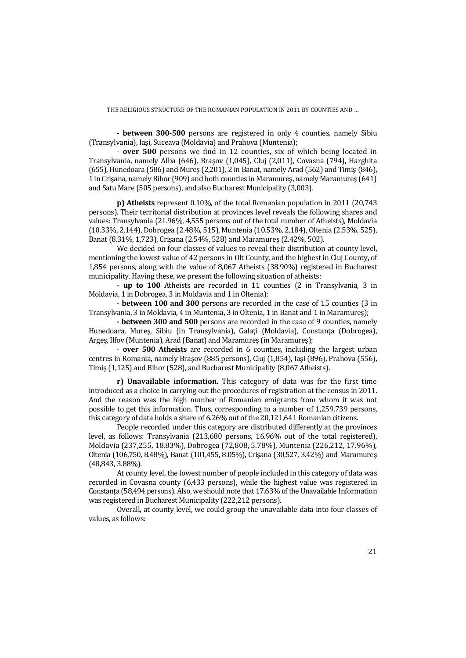- **between 300-500** persons are registered in only 4 counties, namely Sibiu (Transylvania), Iaşi, Suceava (Moldavia) and Prahova (Muntenia);

 - **over 500** persons we find in 12 counties, six of which being located in Transylvania, namely Alba (646), Braşov (1,045), Cluj (2,011), Covasna (794), Harghita (655), Hunedoara (586) and Mureş (2,201), 2 in Banat, namely Arad (562) and Timiş (846), 1 in Crişana, namely Bihor (909) and both counties in Maramureş, namely Maramureş (641) and Satu Mare (505 persons), and also Bucharest Municipality (3,003).

**p) Atheists** represent 0.10%, of the total Romanian population in 2011 (20,743 persons). Their territorial distribution at provinces level reveals the following shares and values: Transylvania (21.96%, 4,555 persons out of the total number of Atheists), Moldavia (10.33%, 2,144), Dobrogea (2.48%, 515), Muntenia (10.53%, 2,184), Oltenia (2.53%, 525), Banat (8.31%, 1,723), Crişana (2.54%, 528) and Maramureş (2.42%, 502).

 We decided on four classes of values to reveal their distribution at county level, mentioning the lowest value of 42 persons in Olt County, and the highest in Cluj County, of 1,854 persons, along with the value of 8,067 Atheists (38.90%) registered in Bucharest municipality. Having these, we present the following situation of atheists:

 - **up to 100** Atheists are recorded in 11 counties (2 in Transylvania, 3 in Moldavia, 1 in Dobrogea, 3 in Moldavia and 1 in Oltenia);

 - **between 100 and 300** persons are recorded in the case of 15 counties (3 in Transylvania, 3 in Moldavia, 4 in Muntenia, 3 in Oltenia, 1 in Banat and 1 in Maramureş);

**- between 300 and 500** persons are recorded in the case of 9 counties, namely Hunedoara, Mureş, Sibiu (in Transylvania), Galaţi (Moldavia), Constanţa (Dobrogea), Argeş, Ilfov (Muntenia), Arad (Banat) and Maramureş (in Maramureş);

 - **over 500 Atheists** are recorded in 6 counties, including the largest urban centres in Romania, namely Braşov (885 persons), Cluj (1,854), Iaşi (896), Prahova (556), Timiş (1,125) and Bihor (528), and Bucharest Municipality (8,067 Atheists).

**r) Unavailable information.** This category of data was for the first time introduced as a choice in carrying out the procedures of registration at the census in 2011. And the reason was the high number of Romanian emigrants from whom it was not possible to get this information. Thus, corresponding to a number of 1,259,739 persons, this category of data holds a share of 6.26% out of the 20,121,641 Romanian citizens.

 People recorded under this category are distributed differently at the provinces level, as follows: Transylvania (213,680 persons, 16.96% out of the total registered), Moldavia (237,255, 18.83%), Dobrogea (72,808, 5.78%), Muntenia (226,212, 17.96%), Oltenia (106,750, 8.48%), Banat (101,455, 8.05%), Crişana (30,527, 3.42%) and Maramureş (48,843, 3.88%).

 At county level, the lowest number of people included in this category of data was recorded in Covasna county (6,433 persons), while the highest value was registered in Constanta (58,494 persons). Also, we should note that 17.63% of the Unavailable Information was registered in Bucharest Municipality (222,212 persons).

 Overall, at county level, we could group the unavailable data into four classes of values, as follows: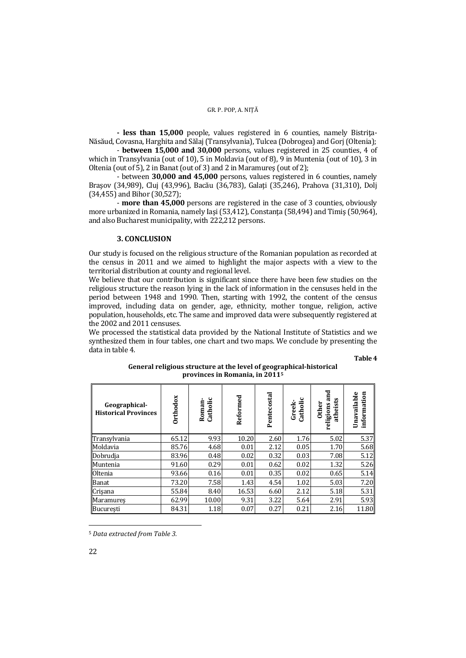**- less than 15,000** people, values registered in 6 counties, namely Bistriţa-Năsăud, Covasna, Harghita and Sălaj (Transylvania), Tulcea (Dobrogea) and Gorj (Oltenia);

 - **between 15,000 and 30,000** persons, values registered in 25 counties, 4 of which in Transylvania (out of 10), 5 in Moldavia (out of 8), 9 in Muntenia (out of 10), 3 in Oltenia (out of 5), 2 in Banat (out of 3) and 2 in Maramureş (out of 2);

 - between **30,000 and 45,000** persons, values registered in 6 counties, namely Braşov (34,989), Cluj (43,996), Bacău (36,783), Galaţi (35,246), Prahova (31,310), Dolj (34,455) and Bihor (30,527);

 - **more than 45,000** persons are registered in the case of 3 counties, obviously more urbanized in Romania, namely Iași (53.412), Constanta (58.494) and Timiș (50.964), and also Bucharest municipality, with 222,212 persons.

## **3. CONCLUSION**

Our study is focused on the religious structure of the Romanian population as recorded at the census in 2011 and we aimed to highlight the major aspects with a view to the territorial distribution at county and regional level.

We believe that our contribution is significant since there have been few studies on the religious structure the reason lying in the lack of information in the censuses held in the period between 1948 and 1990. Then, starting with 1992, the content of the census improved, including data on gender, age, ethnicity, mother tongue, religion, active population, households, etc. The same and improved data were subsequently registered at the 2002 and 2011 censuses.

We processed the statistical data provided by the National Institute of Statistics and we synthesized them in four tables, one chart and two maps. We conclude by presenting the data in table 4.

**Table 4** 

| Geographical-<br><b>Historical Provinces</b> | <b>Drthodox</b> | Catholic<br>Roman | Reformed | Pentecostal | ပ<br>Catholic<br>Greek- | and<br>atheists<br><b>Other</b><br>religions | Unavailable<br>information |
|----------------------------------------------|-----------------|-------------------|----------|-------------|-------------------------|----------------------------------------------|----------------------------|
| Transylvania                                 | 65.12           | 9.93              | 10.20    | 2.60        | 1.76                    | 5.02                                         | 5.37                       |
| Moldavia                                     | 85.76           | 4.68              | 0.01     | 2.12        | 0.05                    | 1.70                                         | 5.68                       |
| Dobrudia                                     | 83.96           | 0.48              | 0.02     | 0.32        | 0.03                    | 7.08                                         | 5.12                       |
| Muntenia                                     | 91.60           | 0.29              | 0.01     | 0.62        | 0.02                    | 1.32                                         | 5.26                       |
| <b>Oltenia</b>                               | 93.66           | 0.16              | 0.01     | 0.35        | 0.02                    | 0.65                                         | 5.14                       |
| <b>Banat</b>                                 | 73.20           | 7.58              | 1.43     | 4.54        | 1.02                    | 5.03                                         | 7.20                       |
| Crisana                                      | 55.84           | 8.40              | 16.53    | 6.60        | 2.12                    | 5.18                                         | 5.31                       |
| Maramures                                    | 62.99           | 10.00             | 9.31     | 3.22        | 5.64                    | 2.91                                         | 5.93                       |
| București                                    | 84.31           | 1.18              | 0.07     | 0.27        | 0.21                    | 2.16                                         | 11.80                      |

**General religious structure at the level of geographical-historical provinces in Romania, in 20115**

<sup>5</sup> *Data extracted from Table 3.*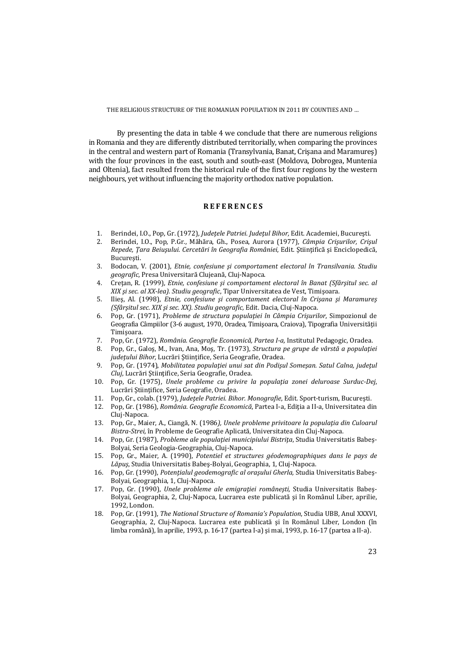By presenting the data in table 4 we conclude that there are numerous religions in Romania and they are differently distributed territorially, when comparing the provinces in the central and western part of Romania (Transylvania, Banat, Crişana and Maramureş) with the four provinces in the east, south and south-east (Moldova, Dobrogea, Muntenia and Oltenia), fact resulted from the historical rule of the first four regions by the western neighbours, yet without influencing the majority orthodox native population.

## **R E F E R E N C E S**

- 1. Berindei, I.O., Pop, Gr. (1972), *Judeţele Patriei. Judeţul Bihor,* Edit. Academiei, Bucureşti.
- 2. Berindei, I.O., Pop, P.Gr., Măhăra, Gh., Posea, Aurora (1977), *Câmpia Crişurilor, Crişul Repede, Ţara Beiuşului. Cercetări în Geografia României*, Edit. Ştiinţifică şi Enciclopedică, Bucureşti.
- 3. Bodocan, V. (2001), *Etnie, confesiune şi comportament electoral în Transilvania. Studiu geografic*, Presa Universitară Clujeană, Cluj-Napoca.
- 4. Creţan, R. (1999), *Etnie, confesiune şi comportament electoral în Banat (Sfârşitul sec. al XIX şi sec. al XX-lea). Studiu geografic*, Tipar Universitatea de Vest, Timişoara.
- 5. Ilieş, Al. (1998), *Etnie, confesiune şi comportament electoral în Crişana şi Maramureş (Sfârşitul sec. XIX şi sec. XX). Studiu geografic,* Edit. Dacia, Cluj-Napoca.
- 6. Pop, Gr. (1971), *Probleme de structura populaţiei în Câmpia Crişurilor*, Simpozionul de Geografia Câmpiilor (3-6 august, 1970, Oradea, Timişoara, Craiova), Tipografia Universităţii Timişoara.
- 7. Pop, Gr. (1972), *România. Geografie Economică, Partea I-a,* Institutul Pedagogic, Oradea.
- 8. Pop, Gr., Galoş, M., Ivan, Ana, Moş, Tr. (1973), *Structura pe grupe de vârstă a populaţiei judeţului Bihor,* Lucrări Ştiinţifice, Seria Geografie, Oradea.
- 9. Pop, Gr. (1974), *Mobilitatea populaţiei unui sat din Podişul Someşan. Satul Calna, judeţul Cluj*, Lucrări Ştiinţifice, Seria Geografie, Oradea.
- 10. Pop, Gr. (1975), *Unele probleme cu privire la populaţia zonei deluroase Surduc-Dej*, Lucrări Stiințifice, Seria Geografie, Oradea.
- 11. Pop, Gr., colab. (1979), *Judeţele Patriei. Bihor. Monografie*, Edit. Sport-turism, Bucureşti.
- 12. Pop, Gr. (1986), *România. Geografie Economică*, Partea I-a, Ediţia a II-a, Universitatea din Cluj-Napoca.
- 13. Pop, Gr., Maier, A., Ciangă, N. (1986*), Unele probleme privitoare la populaţia din Culoarul Bistra-Strei,* în Probleme de Geografie Aplicată, Universitatea din Cluj-Napoca.
- 14. Pop, Gr. (1987), *Probleme ale populaţiei municipiului Bistriţa*, Studia Universitatis Babeş-Bolyai, Seria Geologia-Geographia, Cluj-Napoca.
- 15. Pop, Gr., Maier, A. (1990), *Potentiel et structures géodemographiques dans le pays de Lăpuş*, Studia Universitatis Babeş-Bolyai, Geographia, 1, Cluj-Napoca.
- 16. Pop, Gr. (1990), *Potenţialul geodemografic al oraşului Gherla,* Studia Universitatis Babeş-Bolyai, Geographia, 1, Cluj-Napoca.
- 17. Pop, Gr. (1990), *Unele probleme ale emigraţiei româneşti,* Studia Universitatis Babeş-Bolyai, Geographia, 2, Cluj-Napoca, Lucrarea este publicată şi în Românul Liber, aprilie, 1992, London.
- 18. Pop, Gr. (1991), *The National Structure of Romania's Population*, Studia UBB, Anul XXXVI, Geographia, 2, Cluj-Napoca. Lucrarea este publicată şi în Românul Liber, London (în limba română), în aprilie, 1993, p. 16-17 (partea I-a) şi mai, 1993, p. 16-17 (partea a II-a).